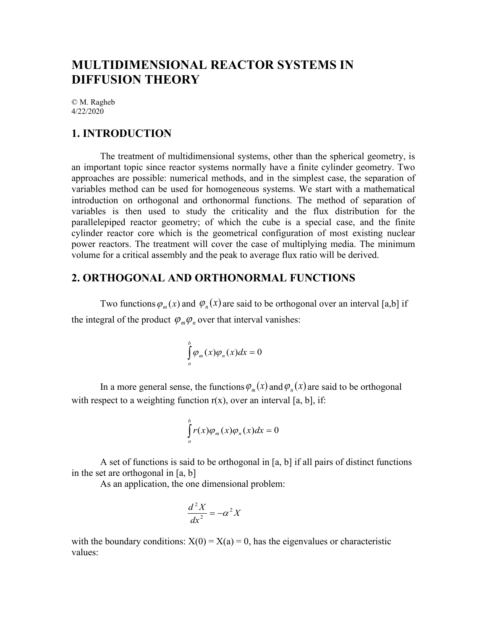# **MULTIDIMENSIONAL REACTOR SYSTEMS IN DIFFUSION THEORY**

© M. Ragheb 4/22/2020

## **1. INTRODUCTION**

The treatment of multidimensional systems, other than the spherical geometry, is an important topic since reactor systems normally have a finite cylinder geometry. Two approaches are possible: numerical methods, and in the simplest case, the separation of variables method can be used for homogeneous systems. We start with a mathematical introduction on orthogonal and orthonormal functions. The method of separation of variables is then used to study the criticality and the flux distribution for the parallelepiped reactor geometry; of which the cube is a special case, and the finite cylinder reactor core which is the geometrical configuration of most existing nuclear power reactors. The treatment will cover the case of multiplying media. The minimum volume for a critical assembly and the peak to average flux ratio will be derived.

## **2. ORTHOGONAL AND ORTHONORMAL FUNCTIONS**

Two functions  $\varphi_m(x)$  and  $\varphi_n(x)$  are said to be orthogonal over an interval [a,b] if the integral of the product  $\varphi_m \varphi_n$  over that interval vanishes:

$$
\int_{a}^{b} \varphi_{m}(x)\varphi_{n}(x)dx = 0
$$

In a more general sense, the functions  $\varphi_m(x)$  and  $\varphi_n(x)$  are said to be orthogonal with respect to a weighting function  $r(x)$ , over an interval [a, b], if:

$$
\int_{a}^{b} r(x)\varphi_{m}(x)\varphi_{n}(x)dx = 0
$$

A set of functions is said to be orthogonal in [a, b] if all pairs of distinct functions in the set are orthogonal in [a, b]

As an application, the one dimensional problem:

$$
\frac{d^2X}{dx^2} = -\alpha^2 X
$$

with the boundary conditions:  $X(0) = X(a) = 0$ , has the eigenvalues or characteristic values: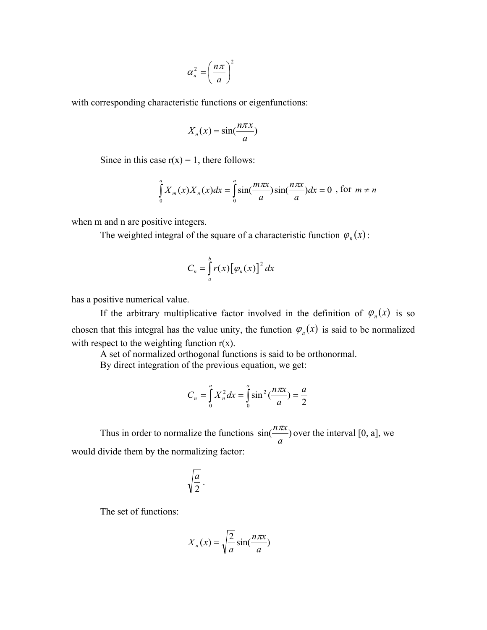$$
\alpha_n^2 = \left(\frac{n\pi}{a}\right)^2
$$

with corresponding characteristic functions or eigenfunctions:

$$
X_n(x) = \sin(\frac{n\pi x}{a})
$$

Since in this case  $r(x) = 1$ , there follows:

$$
\int_{0}^{a} X_{m}(x)X_{n}(x)dx = \int_{0}^{a} \sin(\frac{m\pi x}{a})\sin(\frac{n\pi x}{a})dx = 0
$$
, for  $m \neq n$ 

when m and n are positive integers.

The weighted integral of the square of a characteristic function  $\varphi_n(x)$ :

$$
C_n = \int_a^b r(x) [\varphi_n(x)]^2 dx
$$

has a positive numerical value.

If the arbitrary multiplicative factor involved in the definition of  $\varphi_n(x)$  is so chosen that this integral has the value unity, the function  $\varphi_n(x)$  is said to be normalized with respect to the weighting function  $r(x)$ .

A set of normalized orthogonal functions is said to be orthonormal.

By direct integration of the previous equation, we get:

$$
C_n = \int_0^a X_n^2 dx = \int_0^a \sin^2(\frac{n\pi x}{a}) = \frac{a}{2}
$$

Thus in order to normalize the functions  $sin(\frac{max}{})$ *a*  $\frac{n\pi x}{n}$  over the interval [0, a], we would divide them by the normalizing factor:

$$
\sqrt{\frac{a}{2}}.
$$

The set of functions:

$$
X_n(x) = \sqrt{\frac{2}{a}} \sin(\frac{n\pi x}{a})
$$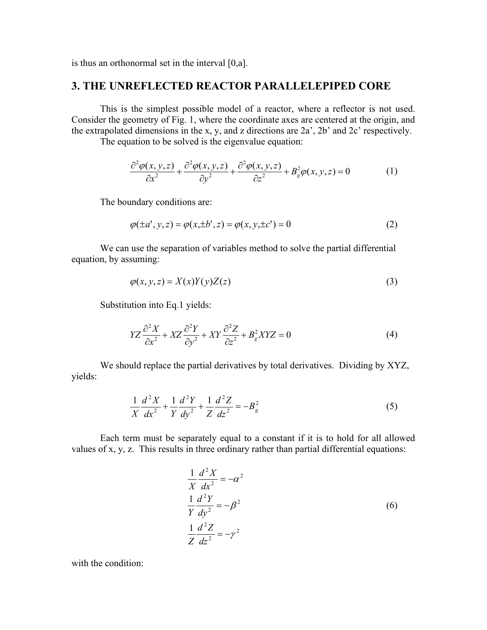is thus an orthonormal set in the interval [0,a].

### **3. THE UNREFLECTED REACTOR PARALLELEPIPED CORE**

This is the simplest possible model of a reactor, where a reflector is not used. Consider the geometry of Fig. 1, where the coordinate axes are centered at the origin, and the extrapolated dimensions in the x, y, and z directions are 2a', 2b' and 2c' respectively.

The equation to be solved is the eigenvalue equation:

$$
\frac{\partial^2 \varphi(x, y, z)}{\partial x^2} + \frac{\partial^2 \varphi(x, y, z)}{\partial y^2} + \frac{\partial^2 \varphi(x, y, z)}{\partial z^2} + B_g^2 \varphi(x, y, z) = 0
$$
 (1)

The boundary conditions are:

$$
\varphi(\pm a', y, z) = \varphi(x, \pm b', z) = \varphi(x, y, \pm c') = 0
$$
\n(2)

We can use the separation of variables method to solve the partial differential equation, by assuming:

$$
\varphi(x, y, z) = X(x)Y(y)Z(z) \tag{3}
$$

Substitution into Eq.1 yields:

$$
YZ\frac{\partial^2 X}{\partial x^2} + XZ\frac{\partial^2 Y}{\partial y^2} + XY\frac{\partial^2 Z}{\partial z^2} + B_g^2 XYZ = 0
$$
\n<sup>(4)</sup>

We should replace the partial derivatives by total derivatives. Dividing by XYZ, yields:

$$
\frac{1}{X}\frac{d^2X}{dx^2} + \frac{1}{Y}\frac{d^2Y}{dy^2} + \frac{1}{Z}\frac{d^2Z}{dz^2} = -B_g^2
$$
 (5)

Each term must be separately equal to a constant if it is to hold for all allowed values of x, y, z. This results in three ordinary rather than partial differential equations:

$$
\frac{1}{X}\frac{d^2X}{dx^2} = -\alpha^2
$$
  

$$
\frac{1}{Y}\frac{d^2Y}{dy^2} = -\beta^2
$$
  

$$
\frac{1}{Z}\frac{d^2Z}{dz^2} = -\gamma^2
$$
 (6)

with the condition: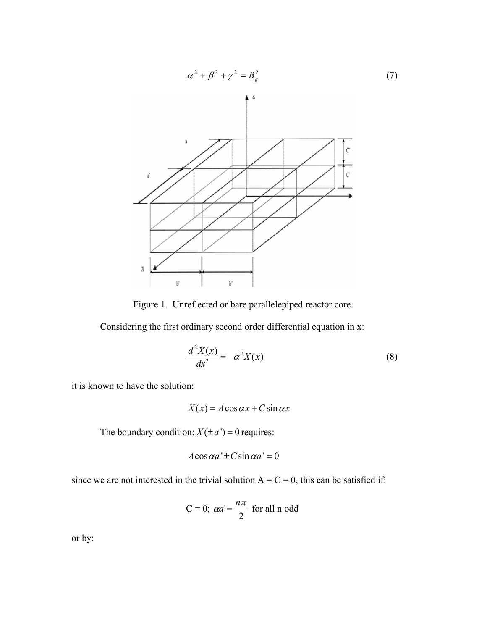

Figure 1. Unreflected or bare parallelepiped reactor core.

Considering the first ordinary second order differential equation in x:

$$
\frac{d^2X(x)}{dx^2} = -\alpha^2 X(x)
$$
 (8)

it is known to have the solution:

$$
X(x) = A\cos\alpha x + C\sin\alpha x
$$

The boundary condition:  $X(\pm a') = 0$  requires:

$$
A\cos\alpha a' \pm C\sin\alpha a' = 0
$$

since we are not interested in the trivial solution  $A = C = 0$ , this can be satisfied if:

$$
C = 0; \ \alpha a' = \frac{n\pi}{2} \text{ for all } n \text{ odd}
$$

or by: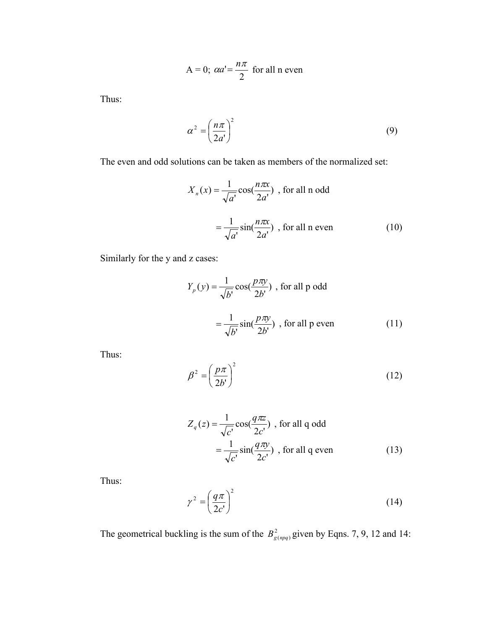$$
A = 0; \ \alpha a' = \frac{n\pi}{2} \text{ for all } n \text{ even}
$$

Thus:

$$
\alpha^2 = \left(\frac{n\pi}{2a'}\right)^2\tag{9}
$$

The even and odd solutions can be taken as members of the normalized set:

$$
X_n(x) = \frac{1}{\sqrt{a'}} \cos(\frac{n\pi x}{2a'}) \text{ , for all n odd}
$$

$$
= \frac{1}{\sqrt{a'}} \sin(\frac{n\pi x}{2a'}) \text{ , for all n even } (10)
$$

Similarly for the y and z cases:

$$
Y_p(y) = \frac{1}{\sqrt{b'}} \cos(\frac{p\pi y}{2b'})
$$
, for all p odd  

$$
= \frac{1}{\sqrt{b'}} \sin(\frac{p\pi y}{2b'})
$$
, for all p even (11)

Thus:

$$
\beta^2 = \left(\frac{p\pi}{2b'}\right)^2\tag{12}
$$

$$
Z_q(z) = \frac{1}{\sqrt{c'}} \cos(\frac{q\pi z}{2c'}) \text{ , for all q odd}
$$

$$
= \frac{1}{\sqrt{c'}} \sin(\frac{q\pi y}{2c'}) \text{ , for all q even } (13)
$$

Thus:

$$
\gamma^2 = \left(\frac{q\pi}{2c'}\right)^2\tag{14}
$$

The geometrical buckling is the sum of the  $B_{g(npq)}^2$  given by Eqns. 7, 9, 12 and 14: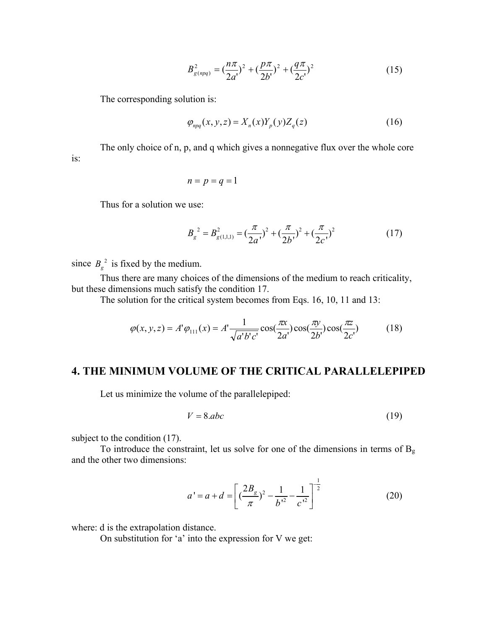$$
B_{g(npq)}^2 = \left(\frac{n\pi}{2a'}\right)^2 + \left(\frac{p\pi}{2b'}\right)^2 + \left(\frac{q\pi}{2c'}\right)^2 \tag{15}
$$

The corresponding solution is:

$$
\varphi_{npq}(x, y, z) = X_n(x) Y_p(y) Z_q(z)
$$
\n(16)

The only choice of n, p, and q which gives a nonnegative flux over the whole core is:

$$
n=p=q=1
$$

Thus for a solution we use:

$$
B_g^{2} = B_{g(1,1,1)}^{2} = \left(\frac{\pi}{2a}\right)^{2} + \left(\frac{\pi}{2b}\right)^{2} + \left(\frac{\pi}{2c}\right)^{2}
$$
 (17)

since  $B_g^2$  is fixed by the medium.

Thus there are many choices of the dimensions of the medium to reach criticality, but these dimensions much satisfy the condition 17.

The solution for the critical system becomes from Eqs. 16, 10, 11 and 13:

$$
\varphi(x, y, z) = A' \varphi_{111}(x) = A' \frac{1}{\sqrt{a'b'c'}} \cos(\frac{\pi x}{2a'}) \cos(\frac{\pi y}{2b'}) \cos(\frac{\pi z}{2c'}) \tag{18}
$$

### **4. THE MINIMUM VOLUME OF THE CRITICAL PARALLELEPIPED**

Let us minimize the volume of the parallelepiped:

$$
V = 8.abc
$$
 (19)

subject to the condition  $(17)$ .

To introduce the constraint, let us solve for one of the dimensions in terms of  $B_g$ and the other two dimensions:

$$
a' = a + d = \left[ \left( \frac{2B_g}{\pi} \right)^2 - \frac{1}{b'^2} - \frac{1}{c'^2} \right]^{-\frac{1}{2}}
$$
(20)

where: d is the extrapolation distance.

On substitution for 'a' into the expression for V we get: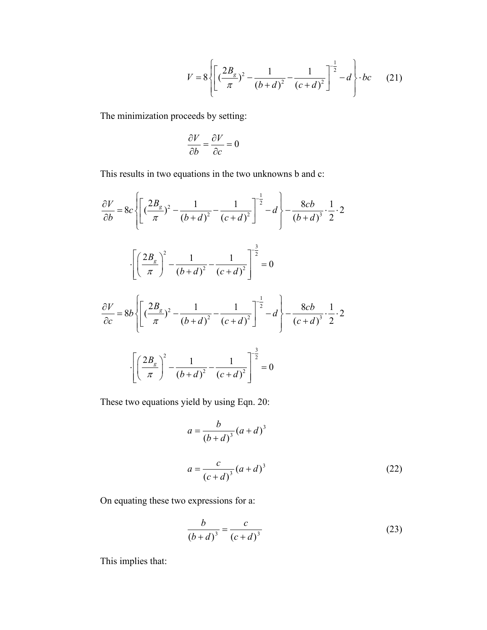$$
V = 8\left\{ \left[ \left( \frac{2B_g}{\pi} \right)^2 - \frac{1}{(b+d)^2} - \frac{1}{(c+d)^2} \right]^{-\frac{1}{2}} - d \right\} \cdot bc \qquad (21)
$$

The minimization proceeds by setting:

$$
\frac{\partial V}{\partial b} = \frac{\partial V}{\partial c} = 0
$$

This results in two equations in the two unknowns b and c:

$$
\frac{\partial V}{\partial b} = 8c \left\{ \left[ \left( \frac{2B_g}{\pi} \right)^2 - \frac{1}{(b+d)^2} - \frac{1}{(c+d)^2} \right]^{-\frac{1}{2}} - d \right\} - \frac{8cb}{(b+d)^3} \cdot \frac{1}{2} \cdot 2
$$
  

$$
\cdot \left[ \left( \frac{2B_g}{\pi} \right)^2 - \frac{1}{(b+d)^2} - \frac{1}{(c+d)^2} \right]^{-\frac{3}{2}} = 0
$$
  

$$
\frac{\partial V}{\partial c} = 8b \left\{ \left[ \left( \frac{2B_g}{\pi} \right)^2 - \frac{1}{(b+d)^2} - \frac{1}{(c+d)^2} \right]^{-\frac{1}{2}} - d \right\} - \frac{8cb}{(c+d)^3} \cdot \frac{1}{2} \cdot 2
$$
  

$$
\cdot \left[ \left( \frac{2B_g}{\pi} \right)^2 - \frac{1}{(b+d)^2} - \frac{1}{(c+d)^2} \right]^{-\frac{3}{2}} = 0
$$

These two equations yield by using Eqn. 20:

$$
a = \frac{b}{(b+d)^3} (a+d)^3
$$
  

$$
a = \frac{c}{(c+d)^3} (a+d)^3
$$
 (22)

On equating these two expressions for a:

$$
\frac{b}{(b+d)^3} = \frac{c}{(c+d)^3}
$$
 (23)

This implies that: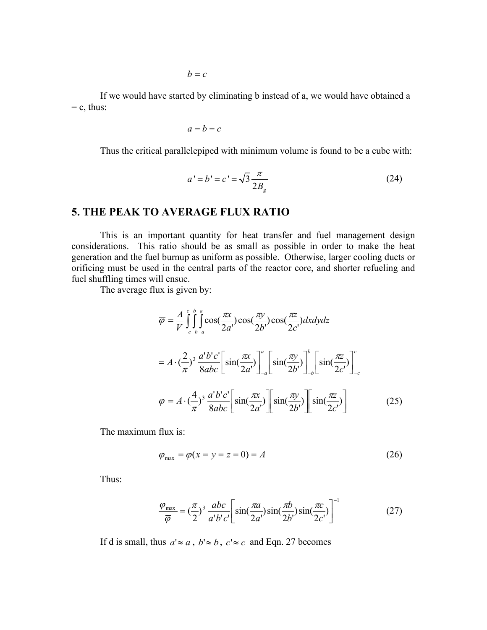If we would have started by eliminating b instead of a, we would have obtained a  $=$  c, thus:

$$
a=b=c
$$

Thus the critical parallelepiped with minimum volume is found to be a cube with:

$$
a' = b' = c' = \sqrt{3} \frac{\pi}{2B_g}
$$
 (24)

## **5. THE PEAK TO AVERAGE FLUX RATIO**

This is an important quantity for heat transfer and fuel management design considerations. This ratio should be as small as possible in order to make the heat generation and the fuel burnup as uniform as possible. Otherwise, larger cooling ducts or orificing must be used in the central parts of the reactor core, and shorter refueling and fuel shuffling times will ensue.

The average flux is given by:

$$
\overline{\varphi} = \frac{A}{V} \int_{-c-b-a}^{c} \int_{0}^{b} \cos(\frac{\pi x}{2a'}) \cos(\frac{\pi y}{2b'}) \cos(\frac{\pi z}{2c'}) dx dy dz
$$
  
\n
$$
= A \cdot (\frac{2}{\pi})^3 \frac{a'b'c'}{8abc} \Big[ \sin(\frac{\pi x}{2a'}) \Big]_{-a}^{a} \Big[ \sin(\frac{\pi y}{2b'}) \Big]_{-b}^{b} \Big[ \sin(\frac{\pi z}{2c'}) \Big]_{-c}^{c}
$$
  
\n
$$
\overline{\varphi} = A \cdot (\frac{4}{\pi})^3 \frac{a'b'c'}{8abc} \Big[ \sin(\frac{\pi x}{2a'}) \Big] \Big[ \sin(\frac{\pi y}{2b'}) \Big] \Big[ \sin(\frac{\pi z}{2c'}) \Big]
$$
(25)

The maximum flux is:

$$
\varphi_{\text{max}} = \varphi(x = y = z = 0) = A \tag{26}
$$

Thus:

$$
\frac{\varphi_{\text{max}}}{\overline{\varphi}} = \left(\frac{\pi}{2}\right)^3 \frac{abc}{a'b'c'} \left[ \sin\left(\frac{\pi a}{2a'}\right) \sin\left(\frac{\pi b}{2b'}\right) \sin\left(\frac{\pi c}{2c'}\right) \right]^{-1} \tag{27}
$$

If d is small, thus  $a' \approx a$ ,  $b' \approx b$ ,  $c' \approx c$  and Eqn. 27 becomes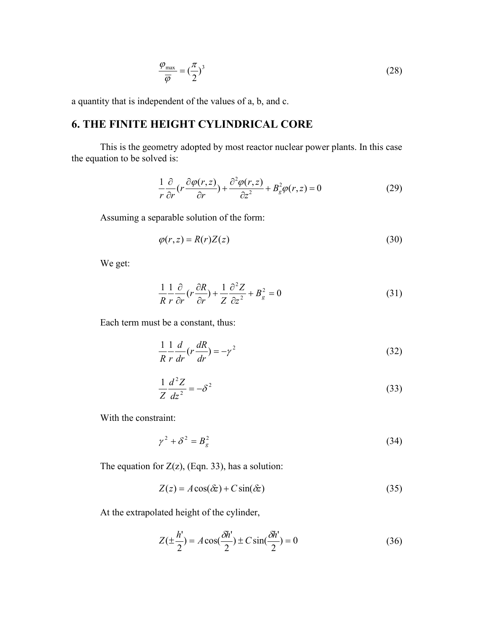$$
\frac{\varphi_{\text{max}}}{\overline{\varphi}} = \left(\frac{\pi}{2}\right)^3 \tag{28}
$$

a quantity that is independent of the values of a, b, and c.

## **6. THE FINITE HEIGHT CYLINDRICAL CORE**

This is the geometry adopted by most reactor nuclear power plants. In this case the equation to be solved is:

$$
\frac{1}{r}\frac{\partial}{\partial r}\left(r\frac{\partial \varphi(r,z)}{\partial r}\right) + \frac{\partial^2 \varphi(r,z)}{\partial z^2} + B_g^2 \varphi(r,z) = 0\tag{29}
$$

Assuming a separable solution of the form:

$$
\varphi(r,z) = R(r)Z(z) \tag{30}
$$

We get:

$$
\frac{1}{R}\frac{1}{r}\frac{\partial}{\partial r}(r\frac{\partial R}{\partial r}) + \frac{1}{Z}\frac{\partial^2 Z}{\partial z^2} + B_g^2 = 0
$$
\n(31)

Each term must be a constant, thus:

$$
\frac{1}{R}\frac{1}{r}\frac{d}{dr}\left(r\frac{dR}{dr}\right) = -\gamma^2\tag{32}
$$

$$
\frac{1}{Z}\frac{d^2Z}{dz^2} = -\delta^2\tag{33}
$$

With the constraint:

$$
\gamma^2 + \delta^2 = B_g^2 \tag{34}
$$

The equation for  $Z(z)$ , (Eqn. 33), has a solution:

$$
Z(z) = A\cos(\delta z) + C\sin(\delta z)
$$
\n(35)

At the extrapolated height of the cylinder,

$$
Z(\pm \frac{h'}{2}) = A\cos(\frac{\delta h'}{2}) \pm C\sin(\frac{\delta h'}{2}) = 0
$$
 (36)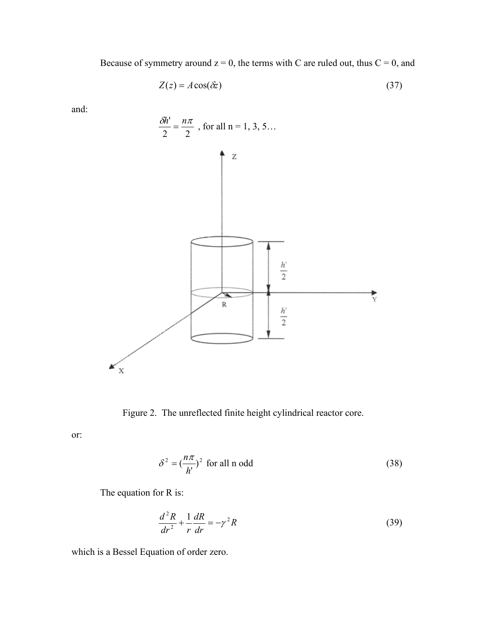Because of symmetry around  $z = 0$ , the terms with C are ruled out, thus  $C = 0$ , and

$$
Z(z) = A\cos(\delta z) \tag{37}
$$

and:



Figure 2. The unreflected finite height cylindrical reactor core.

or:

$$
\delta^2 = \left(\frac{n\pi}{h'}\right)^2 \text{ for all n odd}
$$
 (38)

The equation for R is:

$$
\frac{d^2R}{dr^2} + \frac{1}{r}\frac{dR}{dr} = -\gamma^2 R\tag{39}
$$

which is a Bessel Equation of order zero.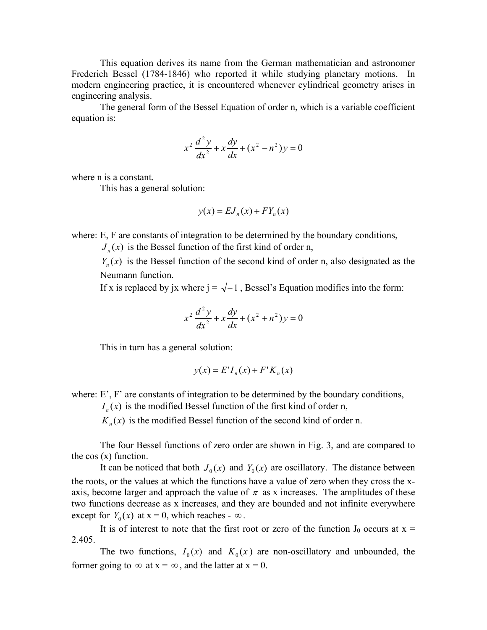This equation derives its name from the German mathematician and astronomer Frederich Bessel (1784-1846) who reported it while studying planetary motions. In modern engineering practice, it is encountered whenever cylindrical geometry arises in engineering analysis.

The general form of the Bessel Equation of order n, which is a variable coefficient equation is:

$$
x^{2} \frac{d^{2} y}{dx^{2}} + x \frac{dy}{dx} + (x^{2} - n^{2}) y = 0
$$

where n is a constant.

This has a general solution:

$$
y(x) = EJ_n(x) + FY_n(x)
$$

where: E, F are constants of integration to be determined by the boundary conditions,

 $J_n(x)$  is the Bessel function of the first kind of order n,

 $Y_{n}(x)$  is the Bessel function of the second kind of order n, also designated as the Neumann function.

If x is replaced by jx where  $j = \sqrt{-1}$ , Bessel's Equation modifies into the form:

$$
x^{2} \frac{d^{2} y}{dx^{2}} + x \frac{dy}{dx} + (x^{2} + n^{2}) y = 0
$$

This in turn has a general solution:

$$
y(x) = E'I_n(x) + F'K_n(x)
$$

where:  $E'$ ,  $F'$  are constants of integration to be determined by the boundary conditions,

 $I_n(x)$  is the modified Bessel function of the first kind of order n,

 $K_n(x)$  is the modified Bessel function of the second kind of order n.

The four Bessel functions of zero order are shown in Fig. 3, and are compared to the cos (x) function.

It can be noticed that both  $J_0(x)$  and  $Y_0(x)$  are oscillatory. The distance between the roots, or the values at which the functions have a value of zero when they cross the xaxis, become larger and approach the value of  $\pi$  as x increases. The amplitudes of these two functions decrease as x increases, and they are bounded and not infinite everywhere except for  $Y_0(x)$  at  $x = 0$ , which reaches -  $\infty$ .

It is of interest to note that the first root or zero of the function  $J_0$  occurs at  $x =$ 2.405.

The two functions,  $I_0(x)$  and  $K_0(x)$  are non-oscillatory and unbounded, the former going to  $\infty$  at  $x = \infty$ , and the latter at  $x = 0$ .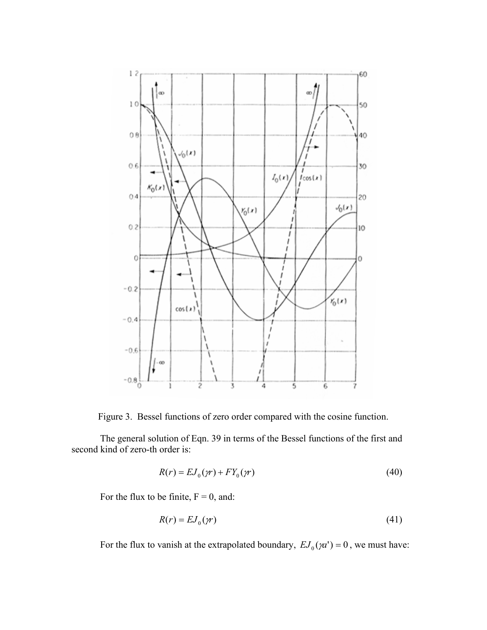

Figure 3. Bessel functions of zero order compared with the cosine function.

The general solution of Eqn. 39 in terms of the Bessel functions of the first and second kind of zero-th order is:

$$
R(r) = EJ_0(\gamma r) + FY_0(\gamma r) \tag{40}
$$

For the flux to be finite,  $F = 0$ , and:

$$
R(r) = EJ_0(\gamma r) \tag{41}
$$

For the flux to vanish at the extrapolated boundary,  $EJ_0(\gamma a') = 0$ , we must have: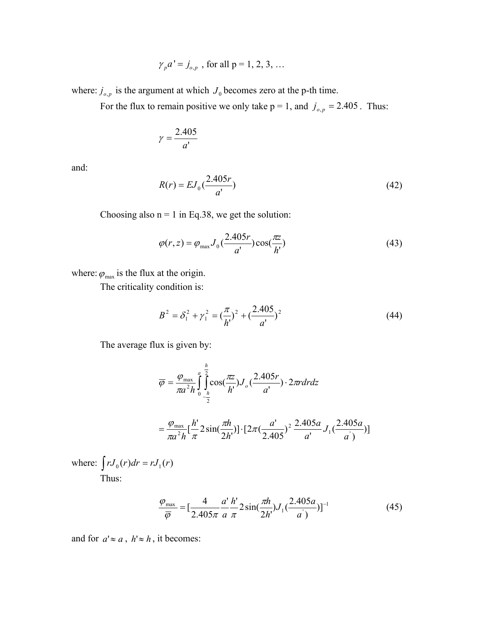$$
\gamma_p a' = j_{o,p}
$$
, for all  $p = 1, 2, 3, ...$ 

where:  $j_{o,p}$  is the argument at which  $J_0$  becomes zero at the p-th time.

For the flux to remain positive we only take  $p = 1$ , and  $j_{o,p} = 2.405$ . Thus:

$$
\gamma = \frac{2.405}{a'}
$$

and:

$$
R(r) = EJ_0 \left(\frac{2.405r}{a'}\right) \tag{42}
$$

Choosing also  $n = 1$  in Eq.38, we get the solution:

$$
\varphi(r,z) = \varphi_{\text{max}} J_0 \left( \frac{2.405r}{a'} \right) \cos(\frac{\pi z}{h'}) \tag{43}
$$

where:  $\varphi_{\text{max}}$  is the flux at the origin.

The criticality condition is:

$$
B^{2} = \delta_{1}^{2} + \gamma_{1}^{2} = \left(\frac{\pi}{h'}\right)^{2} + \left(\frac{2.405}{a'}\right)^{2}
$$
 (44)

The average flux is given by:

$$
\overline{\varphi} = \frac{\varphi_{\text{max}}}{\pi a^2 h} \int_0^a \int_{-\frac{h}{2}}^{\frac{h}{2}} \cos(\frac{\pi z}{h}) J_o(\frac{2.405r}{a}) \cdot 2\pi r dr dz
$$

$$
= \frac{\varphi_{\text{max}}}{\pi a^2 h} \left[ \frac{h'}{\pi} 2 \sin(\frac{\pi h}{2h'}) \right] \cdot \left[ 2\pi (\frac{a'}{2.405})^2 \frac{2.405a}{a'} J_1(\frac{2.405a}{a'}) \right]
$$

where:  $\int rJ_0(r)dr = rJ_1(r)$ Thus:

$$
\frac{\varphi_{\text{max}}}{\overline{\varphi}} = \left[\frac{4}{2.405\pi} \frac{a'}{a} \frac{h'}{\pi} 2\sin(\frac{\pi h}{2h}) J_1(\frac{2.405a}{a'})\right]^{-1} \tag{45}
$$

and for  $a' \approx a$ ,  $h' \approx h$ , it becomes: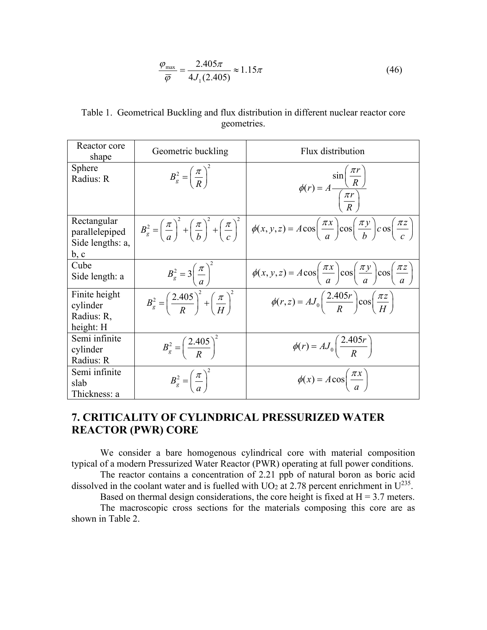$$
\frac{\varphi_{\text{max}}}{\overline{\varphi}} = \frac{2.405\pi}{4J_1(2.405)} \approx 1.15\pi
$$
\n(46)

Table 1. Geometrical Buckling and flux distribution in different nuclear reactor core geometries.

| Reactor core<br>shape                                     | Geometric buckling                                                      | Flux distribution                                                                                                                                                                                                                      |  |
|-----------------------------------------------------------|-------------------------------------------------------------------------|----------------------------------------------------------------------------------------------------------------------------------------------------------------------------------------------------------------------------------------|--|
| <b>Sphere</b><br>Radius: R                                | $B_g^2 = \left(\frac{\pi}{R}\right)^2$                                  | $\phi(r) = A \frac{\sin\left(\frac{\pi r}{R}\right)}{\left(\frac{\pi r}{R}\right)}$                                                                                                                                                    |  |
| Rectangular<br>parallelepiped<br>Side lengths: a,<br>b, c |                                                                         | $B_g^2 = \left(\frac{\pi}{a}\right)^2 + \left(\frac{\pi}{b}\right)^2 + \left(\frac{\pi}{c}\right)^2 \left(\phi(x, y, z) = A \cos\left(\frac{\pi x}{a}\right) \cos\left(\frac{\pi y}{b}\right) \cos\left(\frac{\pi z}{c}\right)\right)$ |  |
| Cube<br>Side length: a                                    | $B_g^2 = 3\left(\frac{\pi}{a}\right)^2$                                 | $\phi(x, y, z) = A \cos\left(\frac{\pi x}{a}\right) \cos\left(\frac{\pi y}{a}\right) \cos\left(\frac{\pi z}{a}\right)$                                                                                                                 |  |
| Finite height<br>cylinder<br>Radius: R,<br>height: H      | $B_g^2 = \left(\frac{2.405}{R}\right)^2 + \left(\frac{\pi}{H}\right)^2$ | $\phi(r,z) = AJ_0\left(\frac{2.405r}{R}\right)\cos\left(\frac{\pi z}{H}\right)$                                                                                                                                                        |  |
| Semi infinite<br>cylinder<br>Radius: R                    | $B_g^2 = \left(\frac{2.405}{R}\right)^2$                                | $\phi(r) = AJ_0\left(\frac{2.405r}{R}\right)$                                                                                                                                                                                          |  |
| Semi infinite<br>slab<br>Thickness: a                     | $B_g^2 = \left(\frac{\pi}{a}\right)^2$                                  | $\phi(x) = A \cos\left(\frac{\pi x}{a}\right)$                                                                                                                                                                                         |  |

## **7. CRITICALITY OF CYLINDRICAL PRESSURIZED WATER REACTOR (PWR) CORE**

We consider a bare homogenous cylindrical core with material composition typical of a modern Pressurized Water Reactor (PWR) operating at full power conditions. The reactor contains a concentration of 2.21 ppb of natural boron as boric acid

dissolved in the coolant water and is fuelled with  $UO<sub>2</sub>$  at 2.78 percent enrichment in  $U<sup>235</sup>$ .

Based on thermal design considerations, the core height is fixed at  $H = 3.7$  meters. The macroscopic cross sections for the materials composing this core are as shown in Table 2.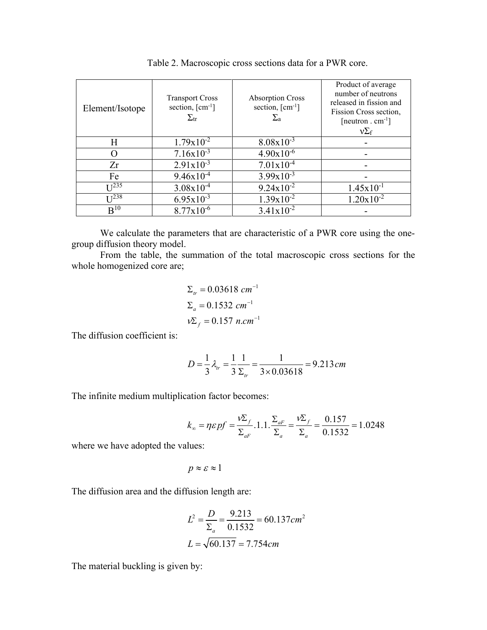| Element/Isotope  | <b>Transport Cross</b><br>section, $\lceil$ cm <sup>-1</sup> $\rceil$<br>$\Sigma_{\rm tr}$ | <b>Absorption Cross</b><br>section, $\lceil$ cm <sup>-1</sup> $\rceil$<br>$\Sigma_{\rm a}$ | Product of average<br>number of neutrons<br>released in fission and<br>Fission Cross section,<br>$[neutron . cm^{-1}]$<br>$v\Sigma_f$ |
|------------------|--------------------------------------------------------------------------------------------|--------------------------------------------------------------------------------------------|---------------------------------------------------------------------------------------------------------------------------------------|
| Η                | $1.79x10^{-2}$                                                                             | $8.08x10^{-3}$                                                                             |                                                                                                                                       |
|                  | $7.16x10^{-3}$                                                                             | $4.90x10^{-6}$                                                                             |                                                                                                                                       |
| Zr               | $2.91x10^{-3}$                                                                             | $7.01x10^{-4}$                                                                             |                                                                                                                                       |
| Fe               | $9.46x10^{-4}$                                                                             | $3.99x10^{-3}$                                                                             |                                                                                                                                       |
| I <sup>235</sup> | $3.08x10^{-4}$                                                                             | $9.24 \times 10^{-2}$                                                                      | $1.45x10^{-1}$                                                                                                                        |
| I <sup>238</sup> | $6.95x10^{-3}$                                                                             | $1.39x10^{-2}$                                                                             | $1.20x10^{-2}$                                                                                                                        |
| B <sup>10</sup>  | $8.77x10^{-6}$                                                                             | $3.41x10^{-2}$                                                                             |                                                                                                                                       |

Table 2. Macroscopic cross sections data for a PWR core.

We calculate the parameters that are characteristic of a PWR core using the onegroup diffusion theory model.

From the table, the summation of the total macroscopic cross sections for the whole homogenized core are;

$$
\Sigma_{tr} = 0.03618 \text{ cm}^{-1}
$$
  

$$
\Sigma_{a} = 0.1532 \text{ cm}^{-1}
$$
  

$$
v\Sigma_{f} = 0.157 \text{ n.cm}^{-1}
$$

The diffusion coefficient is:

$$
D = \frac{1}{3} \lambda_{tr} = \frac{1}{3} \frac{1}{\Sigma_{tr}} = \frac{1}{3 \times 0.03618} = 9.213 \, \text{cm}
$$

The infinite medium multiplication factor becomes:

$$
k_{\infty} = \eta \varepsilon p f = \frac{v \Sigma_f}{\Sigma_{aF}} .1 .1 . \frac{\Sigma_{aF}}{\Sigma_a} = \frac{v \Sigma_f}{\Sigma_a} = \frac{0.157}{0.1532} = 1.0248
$$

where we have adopted the values:

$$
p \approx \varepsilon \approx 1
$$

The diffusion area and the diffusion length are:

$$
L^2 = \frac{D}{\Sigma_a} = \frac{9.213}{0.1532} = 60.137 \text{ cm}^2
$$

$$
L = \sqrt{60.137} = 7.754 \text{ cm}
$$

The material buckling is given by: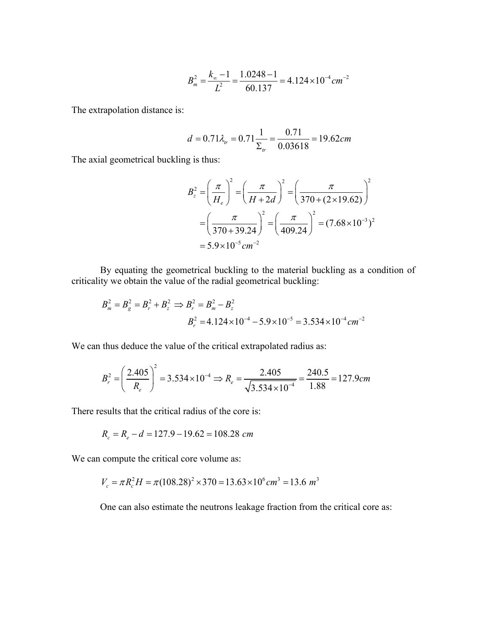$$
B_m^2 = \frac{k_\infty - 1}{L^2} = \frac{1.0248 - 1}{60.137} = 4.124 \times 10^{-4} \, \text{cm}^{-2}
$$

The extrapolation distance is:

$$
d = 0.71 \lambda_{tr} = 0.71 \frac{1}{\Sigma_{tr}} = \frac{0.71}{0.03618} = 19.62 cm
$$

The axial geometrical buckling is thus:

$$
B_z^2 = \left(\frac{\pi}{H_e}\right)^2 = \left(\frac{\pi}{H + 2d}\right)^2 = \left(\frac{\pi}{370 + (2 \times 19.62)}\right)^2
$$

$$
= \left(\frac{\pi}{370 + 39.24}\right)^2 = \left(\frac{\pi}{409.24}\right)^2 = (7.68 \times 10^{-3})^2
$$

$$
= 5.9 \times 10^{-5} \text{ cm}^{-2}
$$

By equating the geometrical buckling to the material buckling as a condition of criticality we obtain the value of the radial geometrical buckling:

$$
B_m^2 = B_g^2 = B_r^2 + B_z^2 \implies B_r^2 = B_m^2 - B_z^2
$$
  

$$
B_r^2 = 4.124 \times 10^{-4} - 5.9 \times 10^{-5} = 3.534 \times 10^{-4} \text{ cm}^{-2}
$$

We can thus deduce the value of the critical extrapolated radius as:

$$
B_r^2 = \left(\frac{2.405}{R_e}\right)^2 = 3.534 \times 10^{-4} \Rightarrow R_e = \frac{2.405}{\sqrt{3.534 \times 10^{-4}}} = \frac{240.5}{1.88} = 127.9 \text{cm}
$$

There results that the critical radius of the core is:

$$
R_c = R_e - d = 127.9 - 19.62 = 108.28 \text{ cm}
$$

We can compute the critical core volume as:

$$
V_c = \pi R_c^2 H = \pi (108.28)^2 \times 370 = 13.63 \times 10^6 \text{ cm}^3 = 13.6 \text{ m}^3
$$

One can also estimate the neutrons leakage fraction from the critical core as: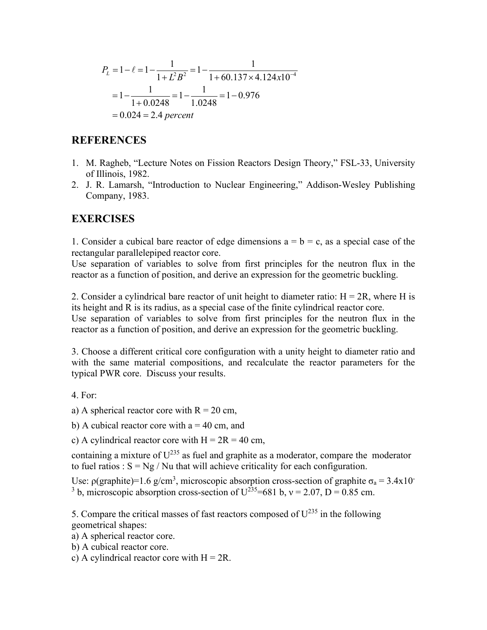$$
P_L = 1 - \ell = 1 - \frac{1}{1 + L^2 B^2} = 1 - \frac{1}{1 + 60.137 \times 4.124 \times 10^{-4}}
$$
  
= 1 -  $\frac{1}{1 + 0.0248} = 1 - \frac{1}{1.0248} = 1 - 0.976$   
= 0.024 = 2.4 percent

## **REFERENCES**

- 1. M. Ragheb, "Lecture Notes on Fission Reactors Design Theory," FSL-33, University of Illinois, 1982.
- 2. J. R. Lamarsh, "Introduction to Nuclear Engineering," Addison-Wesley Publishing Company, 1983.

### **EXERCISES**

1. Consider a cubical bare reactor of edge dimensions  $a = b = c$ , as a special case of the rectangular parallelepiped reactor core.

Use separation of variables to solve from first principles for the neutron flux in the reactor as a function of position, and derive an expression for the geometric buckling.

2. Consider a cylindrical bare reactor of unit height to diameter ratio:  $H = 2R$ , where H is its height and R is its radius, as a special case of the finite cylindrical reactor core.

Use separation of variables to solve from first principles for the neutron flux in the reactor as a function of position, and derive an expression for the geometric buckling.

3. Choose a different critical core configuration with a unity height to diameter ratio and with the same material compositions, and recalculate the reactor parameters for the typical PWR core. Discuss your results.

- 4. For:
- a) A spherical reactor core with  $R = 20$  cm,
- b) A cubical reactor core with  $a = 40$  cm, and
- c) A cylindrical reactor core with  $H = 2R = 40$  cm,

containing a mixture of  $U^{235}$  as fuel and graphite as a moderator, compare the moderator to fuel ratios :  $S = Ng / Nu$  that will achieve criticality for each configuration.

Use:  $\rho(\text{graphite}) = 1.6 \text{ g/cm}^3$ , microscopic absorption cross-section of graphite  $\sigma_a = 3.4 \times 10^{-3}$ <sup>3</sup> b, microscopic absorption cross-section of  $U^{235}$ =681 b, v = 2.07, D = 0.85 cm.

5. Compare the critical masses of fast reactors composed of  $U^{235}$  in the following geometrical shapes:

- a) A spherical reactor core.
- b) A cubical reactor core.
- c) A cylindrical reactor core with  $H = 2R$ .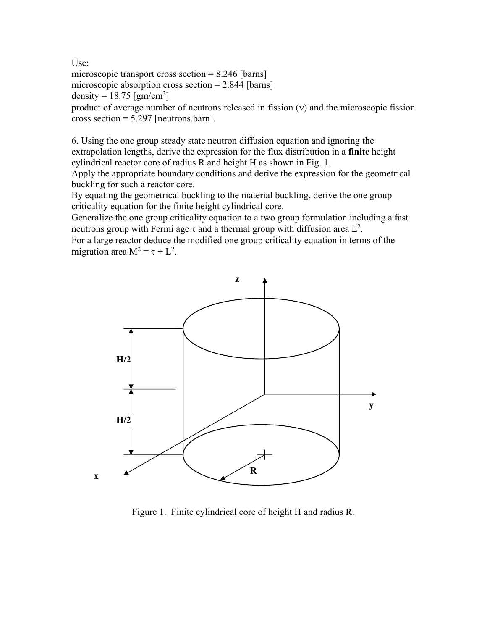Use:

microscopic transport cross section  $= 8.246$  [barns] microscopic absorption cross section  $= 2.844$  [barns]

density =  $18.75$  [gm/cm<sup>3</sup>]

product of average number of neutrons released in fission (v) and the microscopic fission cross section = 5.297 [neutrons.barn].

6. Using the one group steady state neutron diffusion equation and ignoring the extrapolation lengths, derive the expression for the flux distribution in a **finite** height cylindrical reactor core of radius R and height H as shown in Fig. 1.

Apply the appropriate boundary conditions and derive the expression for the geometrical buckling for such a reactor core.

By equating the geometrical buckling to the material buckling, derive the one group criticality equation for the finite height cylindrical core.

Generalize the one group criticality equation to a two group formulation including a fast neutrons group with Fermi age  $\tau$  and a thermal group with diffusion area  $L^2$ .

For a large reactor deduce the modified one group criticality equation in terms of the migration area  $M^2 = \tau + L^2$ .



Figure 1. Finite cylindrical core of height H and radius R.